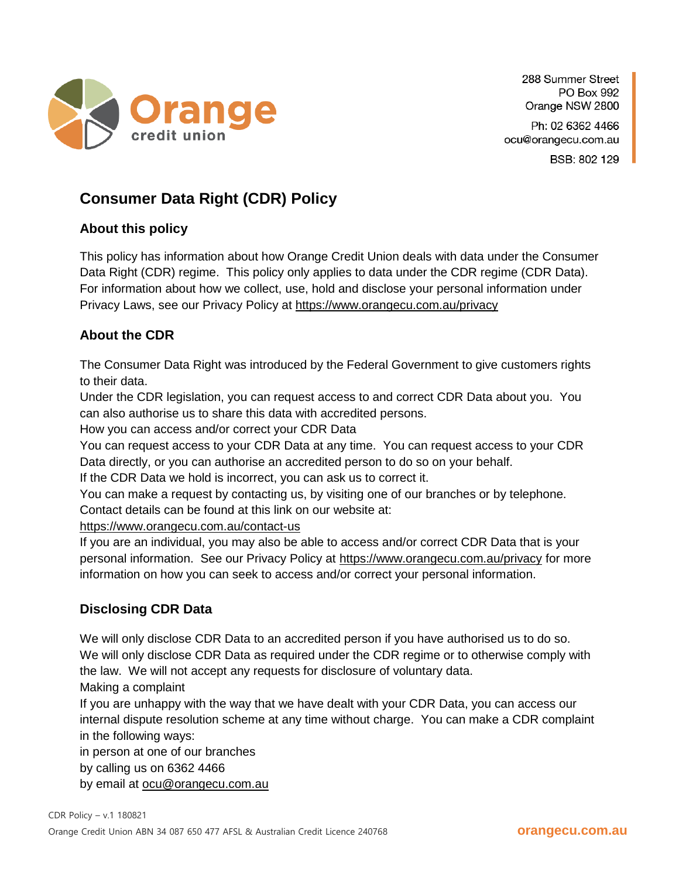

288 Summer Street PO Box 992 Orange NSW 2800

Ph: 02 6362 4466 ocu@orangecu.com.au BSB: 802 129

## **Consumer Data Right (CDR) Policy**

## **About this policy**

This policy has information about how Orange Credit Union deals with data under the Consumer Data Right (CDR) regime. This policy only applies to data under the CDR regime (CDR Data). For information about how we collect, use, hold and disclose your personal information under Privacy Laws, see our Privacy Policy at <https://www.orangecu.com.au/privacy>

## **About the CDR**

The Consumer Data Right was introduced by the Federal Government to give customers rights to their data.

Under the CDR legislation, you can request access to and correct CDR Data about you. You can also authorise us to share this data with accredited persons.

How you can access and/or correct your CDR Data

You can request access to your CDR Data at any time. You can request access to your CDR Data directly, or you can authorise an accredited person to do so on your behalf.

If the CDR Data we hold is incorrect, you can ask us to correct it.

You can make a request by contacting us, by visiting one of our branches or by telephone. Contact details can be found at this link on our website at:

<https://www.orangecu.com.au/contact-us>

If you are an individual, you may also be able to access and/or correct CDR Data that is your personal information. See our Privacy Policy at<https://www.orangecu.com.au/privacy> for more information on how you can seek to access and/or correct your personal information.

## **Disclosing CDR Data**

We will only disclose CDR Data to an accredited person if you have authorised us to do so. We will only disclose CDR Data as required under the CDR regime or to otherwise comply with the law. We will not accept any requests for disclosure of voluntary data.

Making a complaint

If you are unhappy with the way that we have dealt with your CDR Data, you can access our internal dispute resolution scheme at any time without charge. You can make a CDR complaint in the following ways:

in person at one of our branches

by calling us on 6362 4466

by email at [ocu@orangecu.com.au](mailto:ocu@orangecu.com.au)